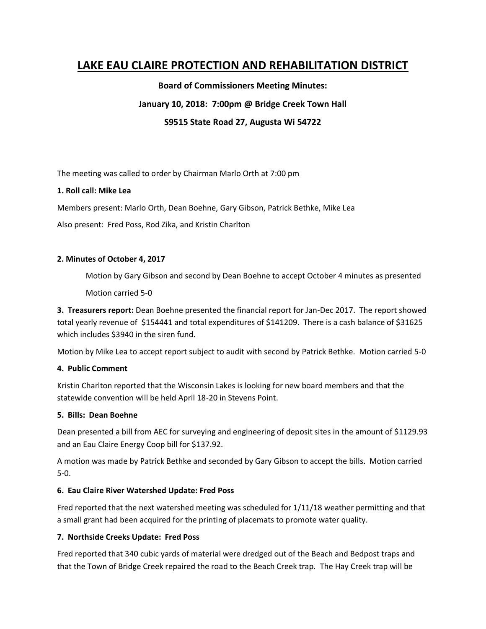# **LAKE EAU CLAIRE PROTECTION AND REHABILITATION DISTRICT**

**Board of Commissioners Meeting Minutes:**

# **January 10, 2018: 7:00pm @ Bridge Creek Town Hall**

**S9515 State Road 27, Augusta Wi 54722**

The meeting was called to order by Chairman Marlo Orth at 7:00 pm

### **1. Roll call: Mike Lea**

Members present: Marlo Orth, Dean Boehne, Gary Gibson, Patrick Bethke, Mike Lea

Also present: Fred Poss, Rod Zika, and Kristin Charlton

### **2. Minutes of October 4, 2017**

Motion by Gary Gibson and second by Dean Boehne to accept October 4 minutes as presented

Motion carried 5-0

**3. Treasurers report:** Dean Boehne presented the financial report for Jan-Dec 2017. The report showed total yearly revenue of \$154441 and total expenditures of \$141209. There is a cash balance of \$31625 which includes \$3940 in the siren fund.

Motion by Mike Lea to accept report subject to audit with second by Patrick Bethke. Motion carried 5-0

# **4. Public Comment**

Kristin Charlton reported that the Wisconsin Lakes is looking for new board members and that the statewide convention will be held April 18-20 in Stevens Point.

# **5. Bills: Dean Boehne**

Dean presented a bill from AEC for surveying and engineering of deposit sites in the amount of \$1129.93 and an Eau Claire Energy Coop bill for \$137.92.

A motion was made by Patrick Bethke and seconded by Gary Gibson to accept the bills. Motion carried 5-0.

# **6. Eau Claire River Watershed Update: Fred Poss**

Fred reported that the next watershed meeting was scheduled for 1/11/18 weather permitting and that a small grant had been acquired for the printing of placemats to promote water quality.

# **7. Northside Creeks Update: Fred Poss**

Fred reported that 340 cubic yards of material were dredged out of the Beach and Bedpost traps and that the Town of Bridge Creek repaired the road to the Beach Creek trap. The Hay Creek trap will be